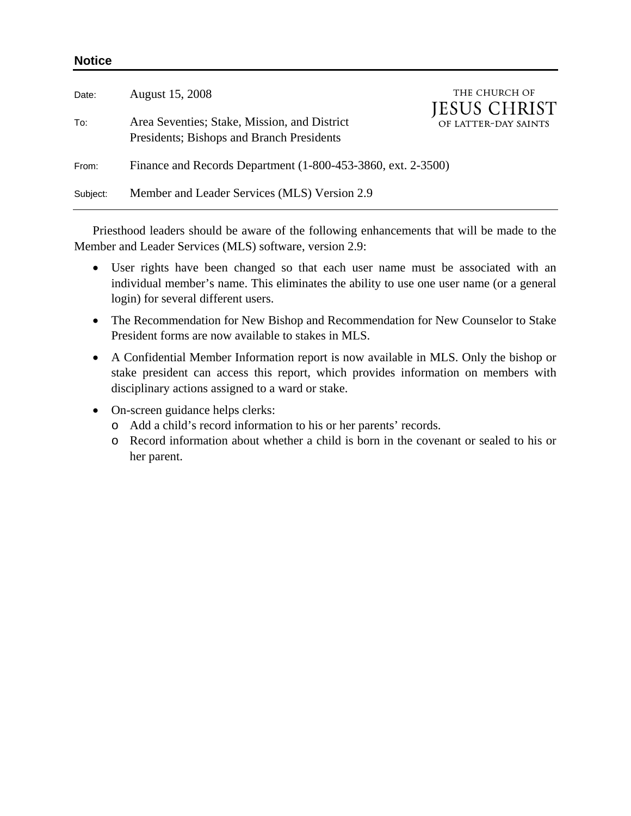| Date:    | August 15, 2008                                                                           | THE CHURCH OF<br><b>JESUS CHRIST</b> |
|----------|-------------------------------------------------------------------------------------------|--------------------------------------|
| To:      | Area Seventies; Stake, Mission, and District<br>Presidents; Bishops and Branch Presidents | OF LATTER-DAY SAINTS                 |
| From:    | Finance and Records Department (1-800-453-3860, ext. 2-3500)                              |                                      |
| Subject: | Member and Leader Services (MLS) Version 2.9                                              |                                      |

Priesthood leaders should be aware of the following enhancements that will be made to the Member and Leader Services (MLS) software, version 2.9:

- User rights have been changed so that each user name must be associated with an individual member's name. This eliminates the ability to use one user name (or a general login) for several different users.
- The Recommendation for New Bishop and Recommendation for New Counselor to Stake President forms are now available to stakes in MLS.
- A Confidential Member Information report is now available in MLS. Only the bishop or stake president can access this report, which provides information on members with disciplinary actions assigned to a ward or stake.
- On-screen guidance helps clerks:

**Notice** 

- o Add a child's record information to his or her parents' records.
- o Record information about whether a child is born in the covenant or sealed to his or her parent.